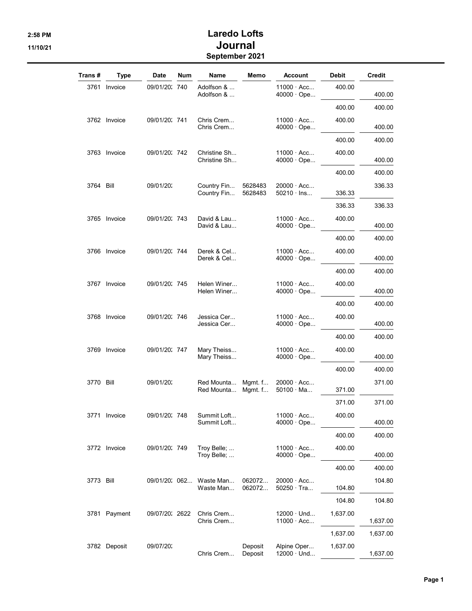## 2:58 PM Laredo Lofts 11/10/21 **Journal** September 2021

| Trans #   | <b>Type</b>  | Date           | <b>Num</b> | Name                                 | Memo               | Account                                | Debit    | Credit   |
|-----------|--------------|----------------|------------|--------------------------------------|--------------------|----------------------------------------|----------|----------|
|           | 3761 Invoice | 09/01/20: 740  |            | Adolfson &<br>Adolfson &             |                    | $11000 \cdot Acc$<br>40000 · Ope       | 400.00   | 400.00   |
|           |              |                |            |                                      |                    |                                        | 400.00   | 400.00   |
|           | 3762 Invoice | 09/01/20: 741  |            | Chris Crem<br>Chris Crem             |                    | 11000 · Acc<br>$40000 \cdot$ Ope       | 400.00   | 400.00   |
|           |              |                |            |                                      |                    |                                        | 400.00   | 400.00   |
|           | 3763 Invoice | 09/01/20: 742  |            | Christine Sh<br>Christine Sh         |                    | $11000 \cdot Acc$<br>$40000 \cdot$ Ope | 400.00   | 400.00   |
|           |              |                |            |                                      |                    |                                        | 400.00   | 400.00   |
| 3764 Bill |              | 09/01/20:      |            | Country Fin<br>Country Fin           | 5628483<br>5628483 | 20000 · Acc<br>$50210 \cdot$ lns       | 336.33   | 336.33   |
|           |              |                |            |                                      |                    |                                        | 336.33   | 336.33   |
|           | 3765 Invoice | 09/01/20: 743  |            | David & Lau<br>David & Lau           |                    | $11000 \cdot Acc$<br>$40000 \cdot$ Ope | 400.00   | 400.00   |
|           |              |                |            |                                      |                    |                                        | 400.00   | 400.00   |
|           | 3766 Invoice | 09/01/20: 744  |            | Derek & Cel<br>Derek & Cel           |                    | $11000 \cdot Acc$<br>40000 · Ope       | 400.00   | 400.00   |
|           |              |                |            |                                      |                    |                                        | 400.00   | 400.00   |
|           | 3767 Invoice | 09/01/20: 745  |            | Helen Winer<br>Helen Winer           |                    | $11000 \cdot Acc$<br>$40000 \cdot$ Ope | 400.00   | 400.00   |
|           |              |                |            |                                      |                    |                                        | 400.00   | 400.00   |
|           | 3768 Invoice | 09/01/20: 746  |            | Jessica Cer<br>Jessica Cer           |                    | $11000 \cdot Acc$<br>$40000 \cdot$ Ope | 400.00   | 400.00   |
|           |              |                |            |                                      |                    |                                        | 400.00   | 400.00   |
|           | 3769 Invoice | 09/01/20: 747  |            | Mary Theiss<br>Mary Theiss           |                    | $11000 \cdot Acc$<br>$40000 \cdot$ Ope | 400.00   | 400.00   |
|           |              |                |            |                                      |                    |                                        | 400.00   | 400.00   |
| 3770 Bill |              | 09/01/20:      |            | Red Mounta<br>Red Mounta             | Mgmt. f<br>Mgmt. f | $20000 \cdot Acc$<br>$50100 \cdot Ma$  | 371.00   | 371.00   |
|           |              |                |            |                                      |                    |                                        | 371.00   | 371.00   |
|           | 3771 Invoice | 09/01/20: 748  |            | Summit Loft<br>Summit Loft           |                    | $11000 \cdot Acc$<br>$40000 \cdot$ Ope | 400.00   | 400.00   |
|           |              |                |            |                                      |                    |                                        | 400.00   | 400.00   |
|           | 3772 Invoice | 09/01/20: 749  |            | Troy Belle;<br>Troy Belle;           |                    | $11000 \cdot Acc$<br>$40000 \cdot$ Ope | 400.00   | 400.00   |
|           |              |                |            |                                      |                    |                                        | 400.00   | 400.00   |
| 3773 Bill |              |                |            | 09/01/20: 062 Waste Man<br>Waste Man | 062072<br>062072   | $20000 \cdot Acc$<br>$50250 \cdot$ Tra | 104.80   | 104.80   |
|           |              |                |            |                                      |                    |                                        | 104.80   | 104.80   |
|           | 3781 Payment | 09/07/20: 2622 |            | Chris Crem<br>Chris Crem             |                    | $12000 \cdot$ Und<br>$11000 \cdot Acc$ | 1,637.00 | 1,637.00 |
|           |              |                |            |                                      |                    |                                        | 1,637.00 | 1,637.00 |
|           | 3782 Deposit | 09/07/20:      |            | Chris Crem                           | Deposit<br>Deposit | Alpine Oper<br>$12000 \cdot$ Und       | 1,637.00 | 1,637.00 |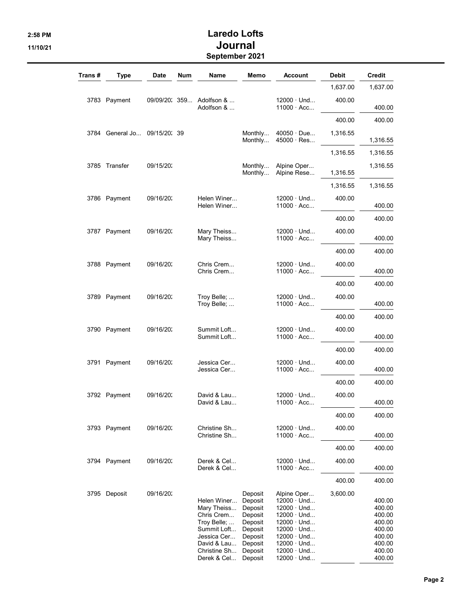## 2:58 PM Laredo Lofts 11/10/21 **Journal** September 2021

| Trans # | <b>Type</b>   | Date         | Num | Name                                                                                                                                | Memo                                                                                                       | <b>Account</b>                                                                                                                                                                                           | Debit    | Credit                                                                                 |
|---------|---------------|--------------|-----|-------------------------------------------------------------------------------------------------------------------------------------|------------------------------------------------------------------------------------------------------------|----------------------------------------------------------------------------------------------------------------------------------------------------------------------------------------------------------|----------|----------------------------------------------------------------------------------------|
|         |               |              |     |                                                                                                                                     |                                                                                                            |                                                                                                                                                                                                          | 1,637.00 | 1,637.00                                                                               |
|         | 3783 Payment  |              |     | 09/09/20: 359 Adolfson &<br>Adolfson &                                                                                              |                                                                                                            | $12000 \cdot$ Und<br>11000 · Acc                                                                                                                                                                         | 400.00   | 400.00                                                                                 |
|         |               |              |     |                                                                                                                                     |                                                                                                            |                                                                                                                                                                                                          | 400.00   | 400.00                                                                                 |
| 3784    | General Jo    | 09/15/20: 39 |     |                                                                                                                                     | Monthly<br>Monthly                                                                                         | $40050 \cdot Due$<br>$45000 \cdot Res$                                                                                                                                                                   | 1,316.55 | 1,316.55                                                                               |
|         |               |              |     |                                                                                                                                     |                                                                                                            |                                                                                                                                                                                                          | 1,316.55 | 1,316.55                                                                               |
|         | 3785 Transfer | 09/15/20:    |     |                                                                                                                                     | Monthly<br>Monthly                                                                                         | Alpine Oper<br>Alpine Rese                                                                                                                                                                               | 1,316.55 | 1,316.55                                                                               |
|         |               |              |     |                                                                                                                                     |                                                                                                            |                                                                                                                                                                                                          | 1,316.55 | 1,316.55                                                                               |
|         | 3786 Payment  | 09/16/20:    |     | Helen Winer<br>Helen Winer                                                                                                          |                                                                                                            | $12000 \cdot$ Und<br>$11000 \cdot Acc$                                                                                                                                                                   | 400.00   | 400.00                                                                                 |
|         |               |              |     |                                                                                                                                     |                                                                                                            |                                                                                                                                                                                                          | 400.00   | 400.00                                                                                 |
|         | 3787 Payment  | 09/16/20:    |     | Mary Theiss<br>Mary Theiss                                                                                                          |                                                                                                            | $12000 \cdot$ Und<br>$11000 \cdot Acc$                                                                                                                                                                   | 400.00   | 400.00                                                                                 |
|         |               |              |     |                                                                                                                                     |                                                                                                            |                                                                                                                                                                                                          | 400.00   | 400.00                                                                                 |
|         | 3788 Payment  | 09/16/20:    |     | Chris Crem<br>Chris Crem                                                                                                            |                                                                                                            | $12000 \cdot$ Und<br>11000 · Acc                                                                                                                                                                         | 400.00   | 400.00                                                                                 |
|         |               |              |     |                                                                                                                                     |                                                                                                            |                                                                                                                                                                                                          | 400.00   | 400.00                                                                                 |
|         | 3789 Payment  | 09/16/20:    |     | Troy Belle;<br>Troy Belle;                                                                                                          |                                                                                                            | $12000 \cdot$ Und<br>$11000 \cdot Acc$                                                                                                                                                                   | 400.00   | 400.00                                                                                 |
|         |               |              |     |                                                                                                                                     |                                                                                                            |                                                                                                                                                                                                          | 400.00   | 400.00                                                                                 |
|         | 3790 Payment  | 09/16/20:    |     | Summit Loft<br>Summit Loft                                                                                                          |                                                                                                            | $12000 \cdot$ Und<br>11000 · Acc                                                                                                                                                                         | 400.00   | 400.00                                                                                 |
|         |               |              |     |                                                                                                                                     |                                                                                                            |                                                                                                                                                                                                          | 400.00   | 400.00                                                                                 |
|         | 3791 Payment  | 09/16/20:    |     | Jessica Cer<br>Jessica Cer                                                                                                          |                                                                                                            | $12000 \cdot$ Und<br>$11000 \cdot Acc$                                                                                                                                                                   | 400.00   | 400.00                                                                                 |
|         |               |              |     |                                                                                                                                     |                                                                                                            |                                                                                                                                                                                                          | 400.00   | 400.00                                                                                 |
|         | 3792 Payment  | 09/16/20:    |     | David & Lau<br>David & Lau                                                                                                          |                                                                                                            | $12000 \cdot$ Und<br>11000 Acc                                                                                                                                                                           | 400.00   | 400.00                                                                                 |
|         |               |              |     |                                                                                                                                     |                                                                                                            |                                                                                                                                                                                                          | 400.00   | 400.00                                                                                 |
|         | 3793 Payment  | 09/16/20:    |     | Christine Sh<br>Christine Sh                                                                                                        |                                                                                                            | $12000 \cdot$ Und<br>$11000 \cdot Acc$                                                                                                                                                                   | 400.00   | 400.00                                                                                 |
|         |               |              |     |                                                                                                                                     |                                                                                                            |                                                                                                                                                                                                          | 400.00   | 400.00                                                                                 |
|         | 3794 Payment  | 09/16/20:    |     | Derek & Cel<br>Derek & Cel                                                                                                          |                                                                                                            | $12000 \cdot$ Und<br>$11000 \cdot Acc$                                                                                                                                                                   | 400.00   | 400.00                                                                                 |
|         |               |              |     |                                                                                                                                     |                                                                                                            |                                                                                                                                                                                                          | 400.00   | 400.00                                                                                 |
|         | 3795 Deposit  | 09/16/20:    |     | Helen Winer<br>Mary Theiss<br>Chris Crem<br>Troy Belle;<br>Summit Loft<br>Jessica Cer<br>David & Lau<br>Christine Sh<br>Derek & Cel | Deposit<br>Deposit<br>Deposit<br>Deposit<br>Deposit<br>Deposit<br>Deposit<br>Deposit<br>Deposit<br>Deposit | Alpine Oper<br>$12000 \cdot$ Und<br>$12000 \cdot$ Und<br>$12000 \cdot$ Und<br>$12000 \cdot$ Und<br>$12000 \cdot$ Und<br>$12000 \cdot$ Und<br>$12000 \cdot$ Und<br>$12000 \cdot$ Und<br>$12000 \cdot$ Und | 3,600.00 | 400.00<br>400.00<br>400.00<br>400.00<br>400.00<br>400.00<br>400.00<br>400.00<br>400.00 |